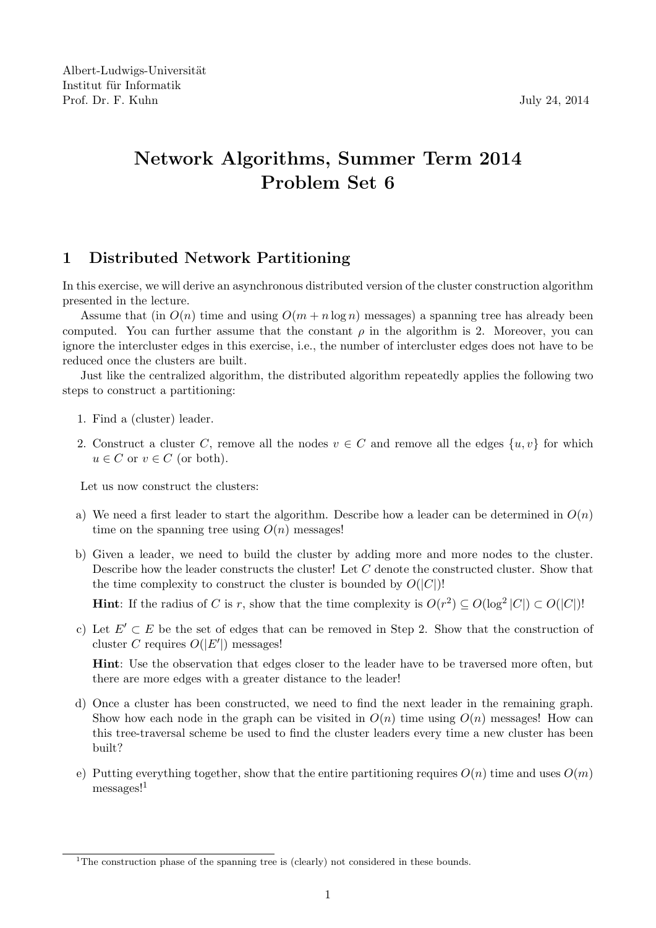Albert-Ludwigs-Universität Institut für Informatik Prof. Dr. F. Kuhn July 24, 2014

## Network Algorithms, Summer Term 2014 Problem Set 6

## 1 Distributed Network Partitioning

In this exercise, we will derive an asynchronous distributed version of the cluster construction algorithm presented in the lecture.

Assume that (in  $O(n)$  time and using  $O(m + n \log n)$  messages) a spanning tree has already been computed. You can further assume that the constant  $\rho$  in the algorithm is 2. Moreover, you can ignore the intercluster edges in this exercise, i.e., the number of intercluster edges does not have to be reduced once the clusters are built.

Just like the centralized algorithm, the distributed algorithm repeatedly applies the following two steps to construct a partitioning:

- 1. Find a (cluster) leader.
- 2. Construct a cluster C, remove all the nodes  $v \in C$  and remove all the edges  $\{u, v\}$  for which  $u \in C$  or  $v \in C$  (or both).

Let us now construct the clusters:

- a) We need a first leader to start the algorithm. Describe how a leader can be determined in  $O(n)$ time on the spanning tree using  $O(n)$  messages!
- b) Given a leader, we need to build the cluster by adding more and more nodes to the cluster. Describe how the leader constructs the cluster! Let C denote the constructed cluster. Show that the time complexity to construct the cluster is bounded by  $O(|C|)!$

**Hint**: If the radius of C is r, show that the time complexity is  $O(r^2) \subseteq O(\log^2 |C|) \subset O(|C|)!$ 

c) Let  $E' \subset E$  be the set of edges that can be removed in Step 2. Show that the construction of cluster C requires  $O(|E'|)$  messages!

Hint: Use the observation that edges closer to the leader have to be traversed more often, but there are more edges with a greater distance to the leader!

- d) Once a cluster has been constructed, we need to find the next leader in the remaining graph. Show how each node in the graph can be visited in  $O(n)$  time using  $O(n)$  messages! How can this tree-traversal scheme be used to find the cluster leaders every time a new cluster has been built?
- e) Putting everything together, show that the entire partitioning requires  $O(n)$  time and uses  $O(m)$ messages!<sup>1</sup>

<sup>&</sup>lt;sup>1</sup>The construction phase of the spanning tree is (clearly) not considered in these bounds.